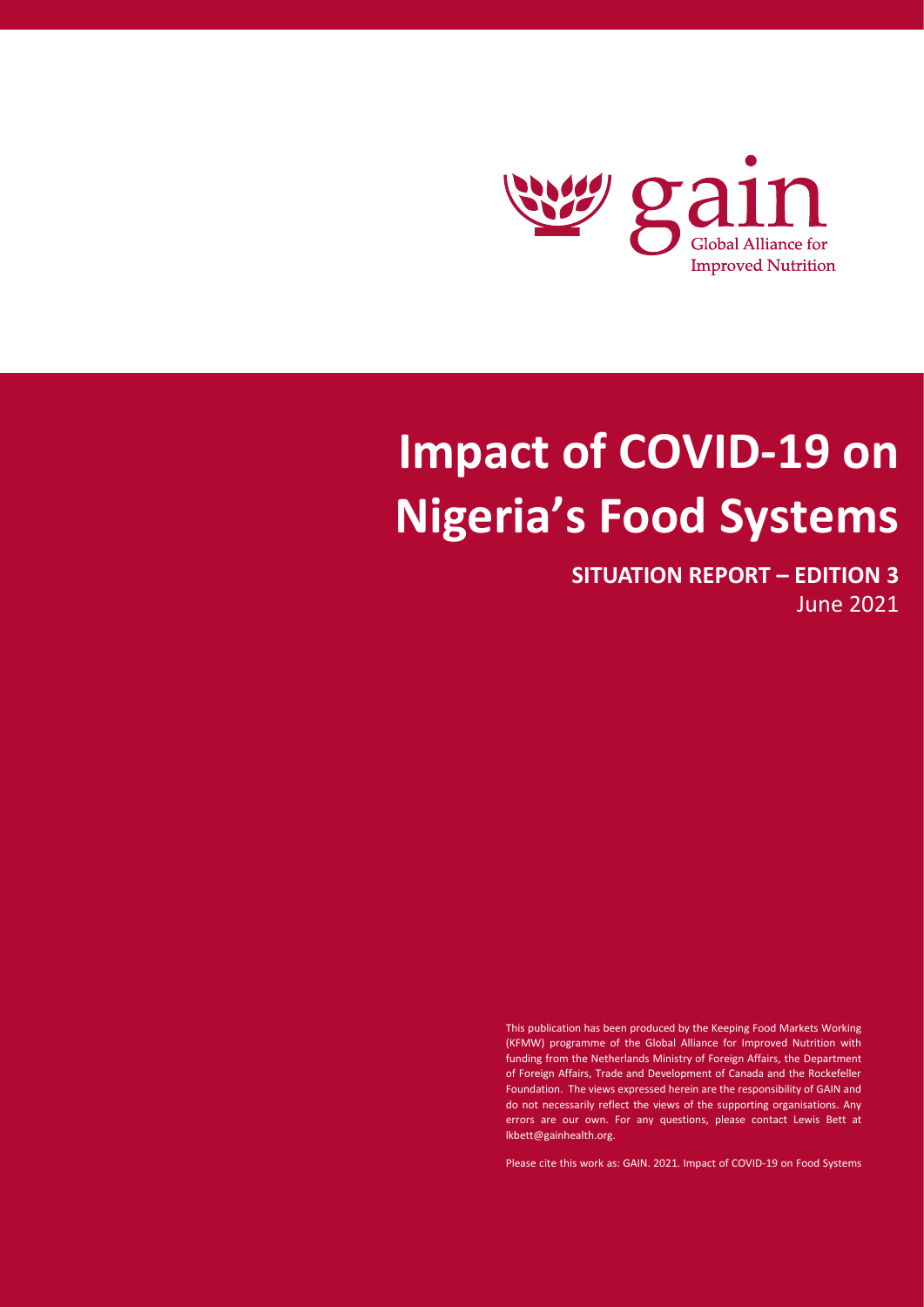

# **Impact of COVID-19 on Nigeria's Food Systems**

**SITUATION REPORT – EDITION 3** June 2021

This publication has been produced by the Keeping Food Markets Working (KFMW) programme of the Global Alliance for Improved Nutrition with funding from the Netherlands Ministry of Foreign Affairs, the Department of Foreign Affairs, Trade and Development of Canada and the Rockefeller Foundation. The views expressed herein are the responsibility of GAIN and do not necessarily reflect the views of the supporting organisations. Any errors are our own. For any questions, please contact Lewis Bett at lkbett@gainhealth.org.

Please cite this work as: GAIN. 2021. Impact of COVID-19 on Food Systems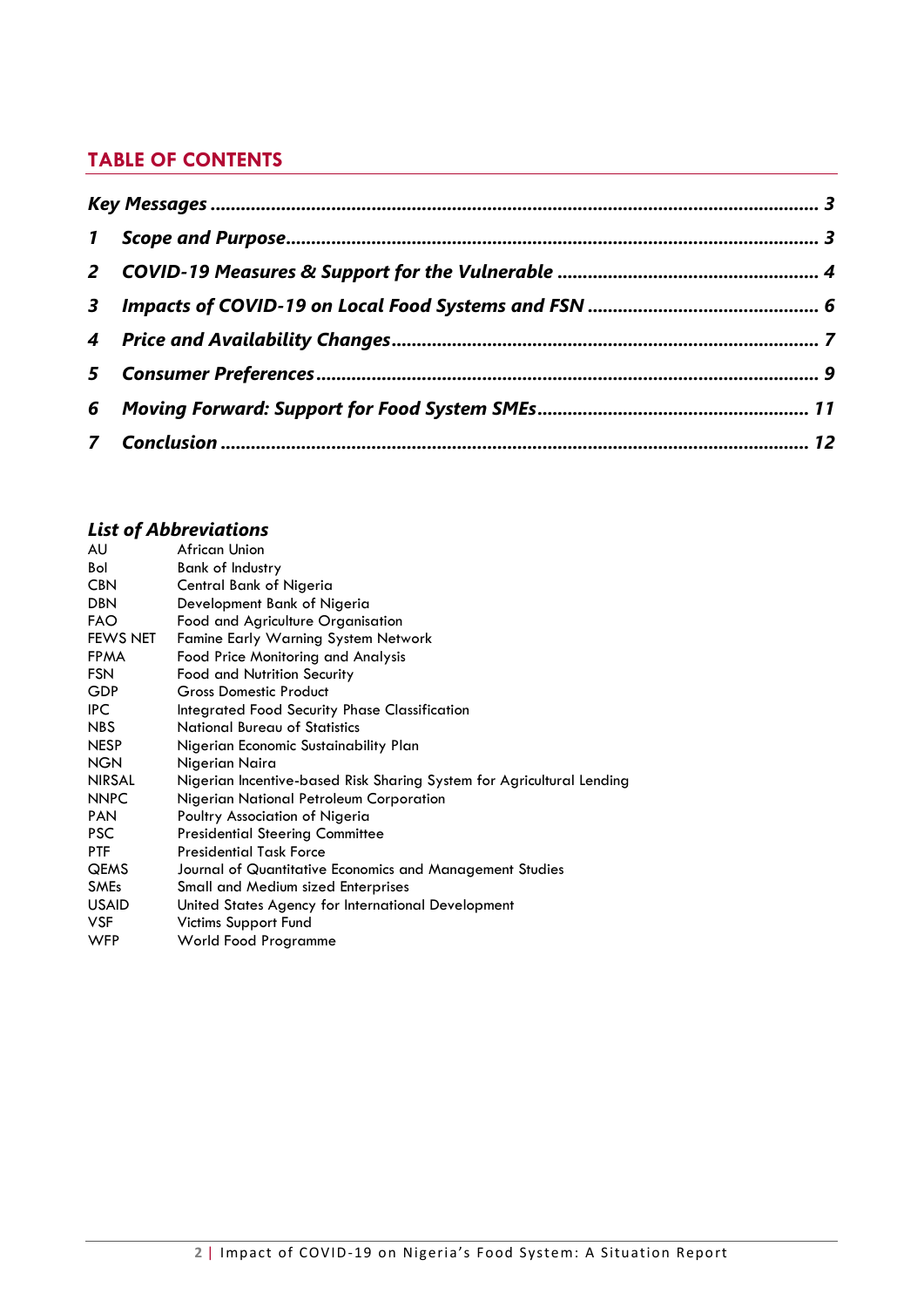# **TABLE OF CONTENTS**

| 6 |  |
|---|--|
|   |  |

# *List of Abbreviations*

| AU              | African Union                                                         |
|-----------------|-----------------------------------------------------------------------|
| Bol             | <b>Bank of Industry</b>                                               |
| <b>CBN</b>      | Central Bank of Nigeria                                               |
| <b>DBN</b>      | Development Bank of Nigeria                                           |
| <b>FAO</b>      | Food and Agriculture Organisation                                     |
| <b>FEWS NET</b> | <b>Famine Early Warning System Network</b>                            |
| <b>FPMA</b>     | Food Price Monitoring and Analysis                                    |
| <b>FSN</b>      | <b>Food and Nutrition Security</b>                                    |
| <b>GDP</b>      | <b>Gross Domestic Product</b>                                         |
| IPC.            | Integrated Food Security Phase Classification                         |
| NBS             | National Bureau of Statistics                                         |
| <b>NESP</b>     | Nigerian Economic Sustainability Plan                                 |
| <b>NGN</b>      | Nigerian Naira                                                        |
| <b>NIRSAL</b>   | Nigerian Incentive-based Risk Sharing System for Agricultural Lending |
| <b>NNPC</b>     | Nigerian National Petroleum Corporation                               |
| <b>PAN</b>      | Poultry Association of Nigeria                                        |
| <b>PSC</b>      | <b>Presidential Steering Committee</b>                                |
| <b>PTF</b>      | <b>Presidential Task Force</b>                                        |
| <b>QEMS</b>     | Journal of Quantitative Economics and Management Studies              |
| <b>SMEs</b>     | Small and Medium sized Enterprises                                    |
| <b>USAID</b>    | United States Agency for International Development                    |
| <b>VSF</b>      | Victims Support Fund                                                  |
| <b>WFP</b>      | World Food Programme                                                  |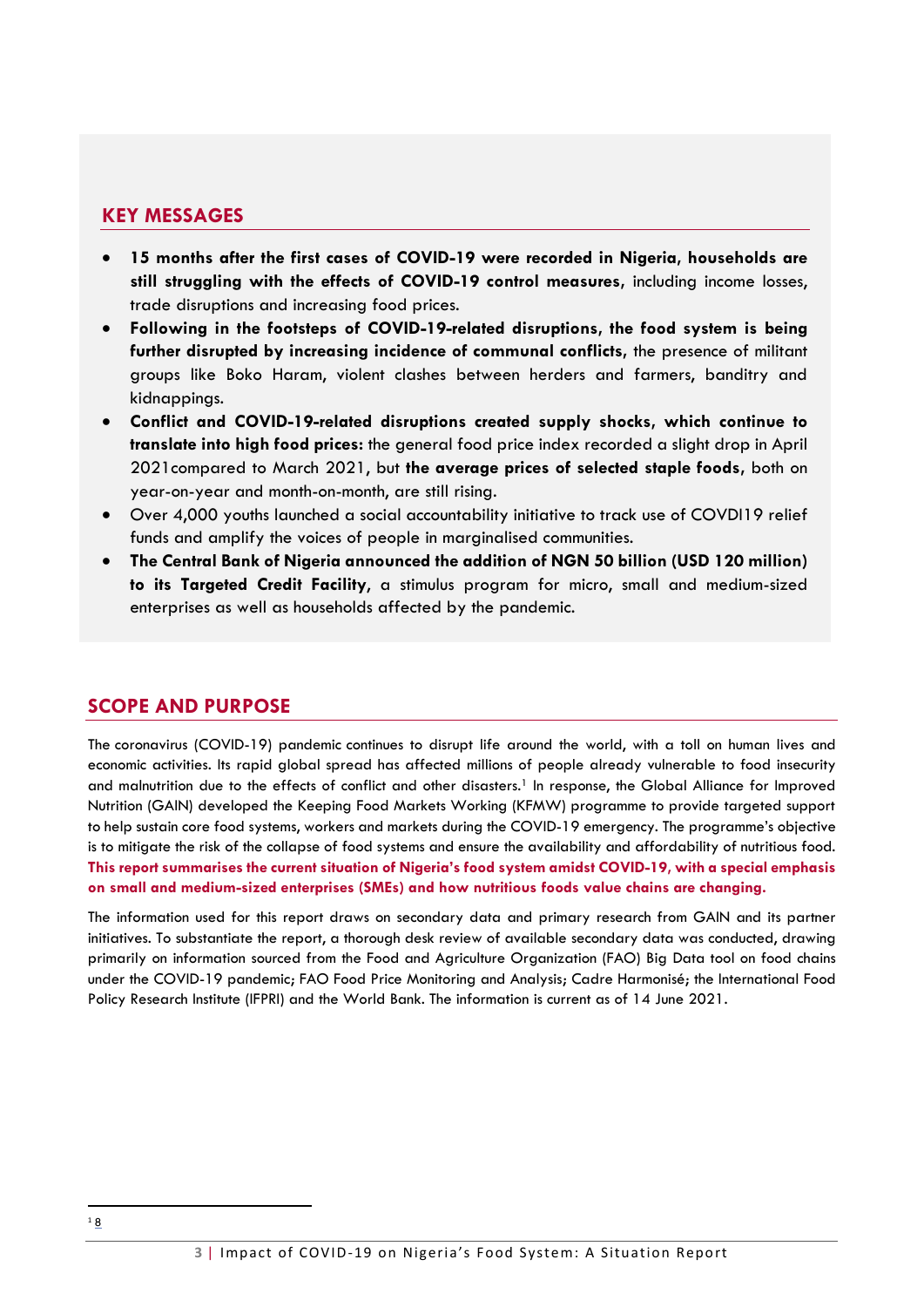## **KEY MESSAGES**

- **15 months after the first cases of COVID-19 were recorded in Nigeria, households are still struggling with the effects of COVID-19 control measures,** including income losses, trade disruptions and increasing food prices.
- **Following in the footsteps of COVID-19-related disruptions, the food system is being further disrupted by increasing incidence of communal conflicts,** the presence of militant groups like Boko Haram, violent clashes between herders and farmers, banditry and kidnappings.
- **Conflict and COVID-19-related disruptions created supply shocks, which continue to translate into high food prices:** the general food price index recorded a slight drop in April 2021compared to March 2021, but **the average prices of selected staple foods,** both on year-on-year and month-on-month, are still rising.
- Over 4,000 youths launched a social accountability initiative to track use of COVDI19 relief funds and amplify the voices of people in marginalised communities.
- **The Central Bank of Nigeria announced the addition of NGN 50 billion (USD 120 million) to its Targeted Credit Facility**, a stimulus program for micro, small and medium-sized enterprises as well as households affected by the pandemic.

# <span id="page-2-0"></span>**SCOPE AND PURPOSE**

The coronavirus (COVID-19) pandemic continues to disrupt life around the world, with a toll on human lives and economic activities. Its rapid global spread has affected millions of people already vulnerable to food insecurity and malnutrition due to the effects of conflict and other disasters. <sup>1</sup> In response, the Global Alliance for Improved Nutrition (GAIN) developed the Keeping Food Markets Working (KFMW) programme to provide targeted support to help sustain core food systems, workers and markets during the COVID-19 emergency. The programme's objective is to mitigate the risk of the collapse of food systems and ensure the availability and affordability of nutritious food. **This report summarises the current situation of Nigeria's food system amidst COVID-19, with a special emphasis on small and medium-sized enterprises (SMEs) and how nutritious foods value chains are changing.**

The information used for this report draws on secondary data and primary research from GAIN and its partner initiatives. To substantiate the report, a thorough desk review of available secondary data was conducted, drawing primarily on information sourced from the Food and Agriculture Organization (FAO) [Big Data tool on food chains](https://datalab.review.fao.org/index.html)  [under the COVID-19 pandemic;](https://datalab.review.fao.org/index.html) [FAO Food Price Monitoring and Analysis;](http://www.fao.org/giews/food-prices/food-policies/detail/en/c/1270543/) Cadre Harmonisé; the International Food Policy Research Institute (IFPRI) and the World Bank. The information is current as of 14 June 2021.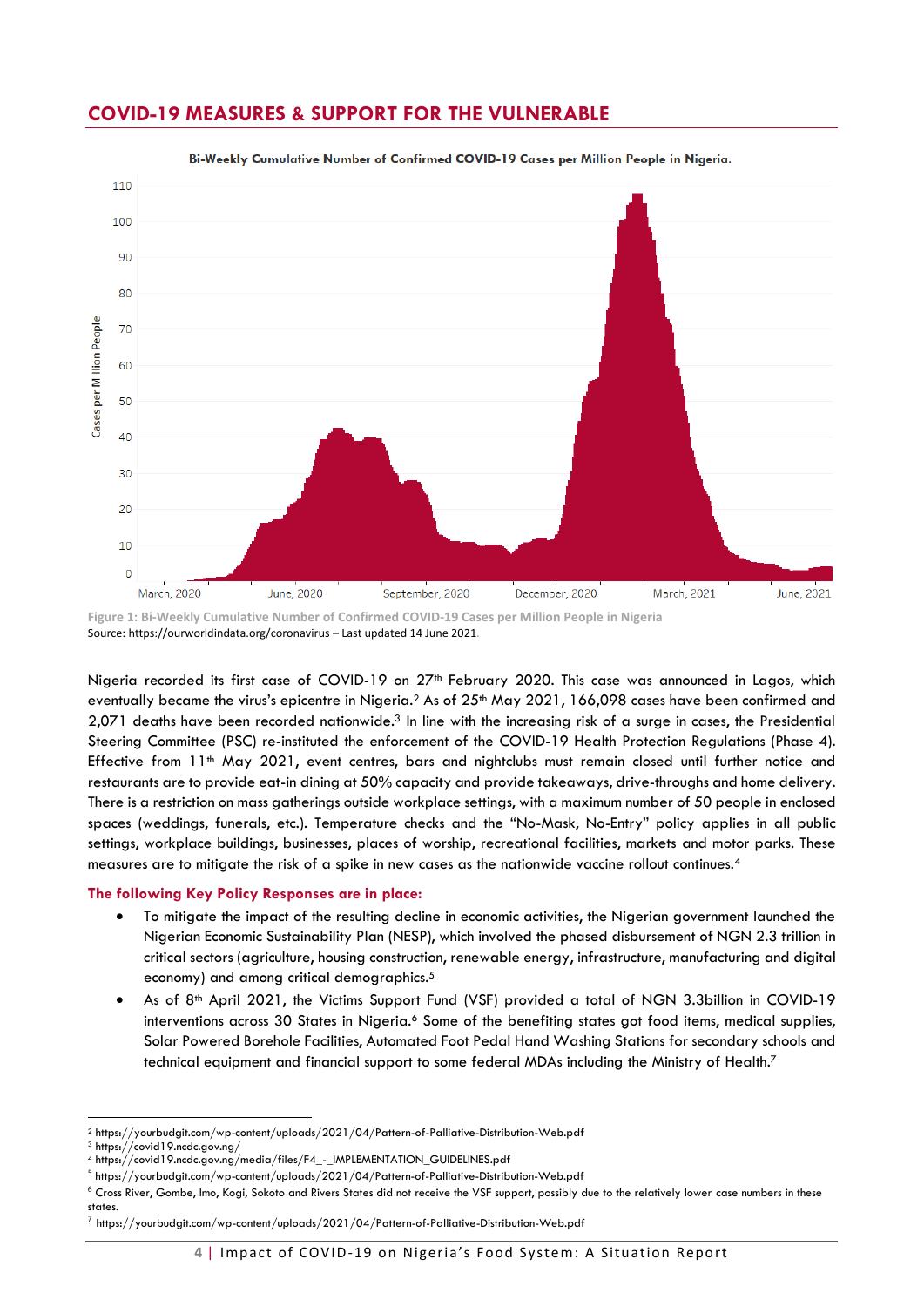

## <span id="page-3-0"></span>**COVID-19 MEASURES & SUPPORT FOR THE VULNERABLE**

Bi-Weekly Cumulative Number of Confirmed COVID-19 Cases per Million People in Nigeria.

**Figure 1: Bi-Weekly Cumulative Number of Confirmed COVID-19 Cases per Million People in Nigeria** Source: https://ourworldindata.org/coronavirus – Last updated 14 June 2021.

Nigeria recorded its first case of COVID-19 on 27<sup>th</sup> February 2020. This case was announced in Lagos, which eventually became the virus's epicentre in Nigeria.<sup>2</sup> As of 25<sup>th</sup> May 2021, 166,098 cases have been confirmed and 2,071 deaths have been recorded nationwide. <sup>3</sup> In line with the increasing risk of a surge in cases, the Presidential Steering Committee (PSC) re-instituted the enforcement of the COVID-19 Health Protection Regulations (Phase 4). Effective from 11<sup>th</sup> May 2021, event centres, bars and nightclubs must remain closed until further notice and restaurants are to provide eat-in dining at 50% capacity and provide takeaways, drive-throughs and home delivery. There is a restriction on mass gatherings outside workplace settings, with a maximum number of 50 people in enclosed spaces (weddings, funerals, etc.). Temperature checks and the "No-Mask, No-Entry" policy applies in all public settings, workplace buildings, businesses, places of worship, recreational facilities, markets and motor parks. These measures are to mitigate the risk of a spike in new cases as the nationwide vaccine rollout continues.<sup>4</sup>

#### **The following Key Policy Responses are in place:**

- To mitigate the impact of the resulting decline in economic activities, the Nigerian government launched the Nigerian Economic Sustainability Plan (NESP), which involved the phased disbursement of NGN 2.3 trillion in critical sectors (agriculture, housing construction, renewable energy, infrastructure, manufacturing and digital economy) and among critical demographics.<sup>5</sup>
- As of 8<sup>th</sup> April 2021, the Victims Support Fund (VSF) provided a total of NGN 3.3billion in COVID-19 interventions across 30 States in Nigeria.<sup>6</sup> Some of the benefiting states got food items, medical supplies, Solar Powered Borehole Facilities, Automated Foot Pedal Hand Washing Stations for secondary schools and technical equipment and financial support to some federal MDAs including the Ministry of Health.<sup>7</sup>

<sup>2</sup> https://yourbudgit.com/wp-content/uploads/2021/04/Pattern-of-Palliative-Distribution-Web.pdf

<sup>3</sup> https://covid19.ncdc.gov.ng/

<sup>4</sup> https://covid19.ncdc.gov.ng/media/files/F4\_-\_IMPLEMENTATION\_GUIDELINES.pdf

<sup>&</sup>lt;sup>5</sup> https://yourbudgit.com/wp-content/uploads/2021/04/Pattern-of-Palliative-Distribution-Web.pdf

 $^6$  Cross River, Gombe, Imo, Kogi, Sokoto and Rivers States did not receive the VSF support, possibly due to the relatively lower case numbers in these states.

 $^7$  https://yourbudgit.com/wp-content/uploads/2021/04/Pattern-of-Palliative-Distribution-Web.pdf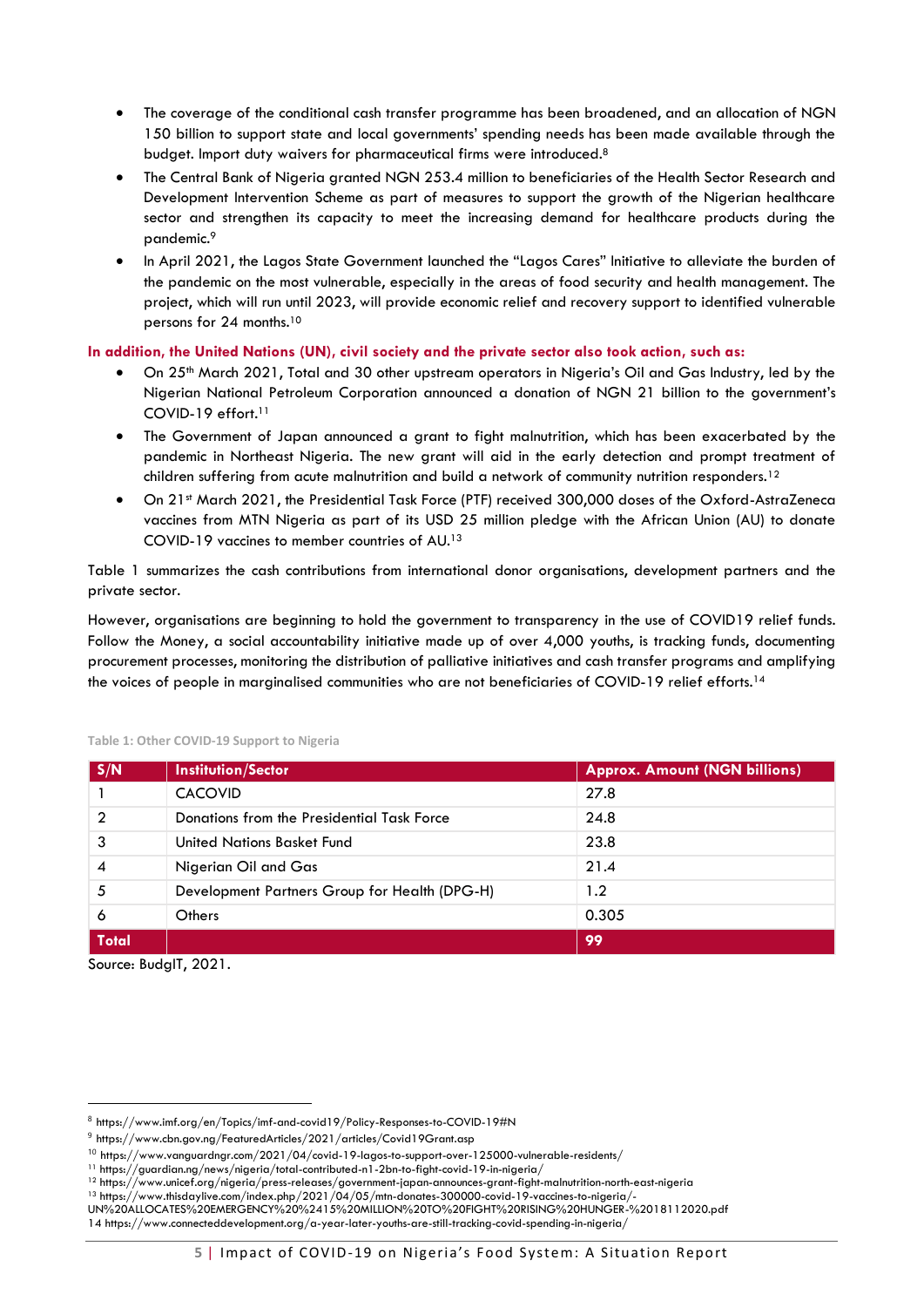- The coverage of the conditional cash transfer programme has been broadened, and an allocation of NGN 150 billion to support state and local governments' spending needs has been made available through the budget. Import duty waivers for pharmaceutical firms were introduced.<sup>8</sup>
- The Central Bank of Nigeria granted NGN 253.4 million to beneficiaries of the Health Sector Research and Development Intervention Scheme as part of measures to support the growth of the Nigerian healthcare sector and strengthen its capacity to meet the increasing demand for healthcare products during the pandemic.<sup>9</sup>
- In April 2021, the Lagos State Government launched the "Lagos Cares" Initiative to alleviate the burden of the pandemic on the most vulnerable, especially in the areas of food security and health management. The project, which will run until 2023, will provide economic relief and recovery support to identified vulnerable persons for 24 months.<sup>10</sup>

#### **In addition, the United Nations (UN), civil society and the private sector also took action, such as:**

- On 25th March 2021, Total and 30 other upstream operators in Nigeria's Oil and Gas Industry, led by the Nigerian National Petroleum Corporation announced a donation of NGN 21 billion to the government's COVID-19 effort.<sup>11</sup>
- The Government of Japan announced a grant to fight malnutrition, which has been exacerbated by the pandemic in Northeast Nigeria. The new grant will aid in the early detection and prompt treatment of children suffering from acute malnutrition and build a network of community nutrition responders.<sup>12</sup>
- On 21st March 2021, the Presidential Task Force (PTF) received 300,000 doses of the Oxford-AstraZeneca vaccines from MTN Nigeria as part of its USD 25 million pledge with the African Union (AU) to donate COVID-19 vaccines to member countries of AU.<sup>13</sup>

Table 1 summarizes the cash contributions from international donor organisations, development partners and the private sector.

However, organisations are beginning to hold the government to transparency in the use of COVID19 relief funds. Follow the Money, a social accountability initiative made up of over 4,000 youths, is tracking funds, documenting procurement processes, monitoring the distribution of palliative initiatives and cash transfer programs and amplifying the voices of people in marginalised communities who are not beneficiaries of COVID-19 relief efforts. 14

| S/N          | <b>Institution/Sector</b>                     | <b>Approx. Amount (NGN billions)</b> |  |  |
|--------------|-----------------------------------------------|--------------------------------------|--|--|
|              | <b>CACOVID</b>                                | 27.8                                 |  |  |
| 2            | Donations from the Presidential Task Force    | 24.8                                 |  |  |
| 3            | United Nations Basket Fund                    | 23.8                                 |  |  |
| 4            | Nigerian Oil and Gas                          | 21.4                                 |  |  |
| 5            | Development Partners Group for Health (DPG-H) | 1.2                                  |  |  |
| 6            | Others                                        | 0.305                                |  |  |
| <b>Total</b> |                                               | 99                                   |  |  |

#### **Table 1: Other COVID-19 Support to Nigeria**

Source: BudgIT, 2021.

 $^8$  https://www.imf.org/en/Topics/imf-and-covid19/Policy-Responses-to-COVID-19#N

 $^9$  https://www.cbn.gov.ng/FeaturedArticles/2021/articles/Covid19Grant.asp

<sup>10</sup> https://www.vanguardngr.com/2021/04/covid-19-lagos-to-support-over-125000-vulnerable-residents/

<sup>11</sup> https://guardian.ng/news/nigeria/total-contributed-n1-2bn-to-fight-covid-19-in-nigeria/

<sup>12</sup> https://www.unicef.org/nigeria/press-releases/government-japan-announces-grant-fight-malnutrition-north-east-nigeria

<sup>13</sup> https://www.thisdaylive.com/index.php/2021/04/05/mtn-donates-300000-covid-19-vaccines-to-nigeria/-

UN%20ALLOCATES%20EMERGENCY%20%2415%20MILLION%20TO%20FIGHT%20RISING%20HUNGER-%2018112020.pdf 14 https://www.connecteddevelopment.org/a-year-later-youths-are-still-tracking-covid-spending-in-nigeria/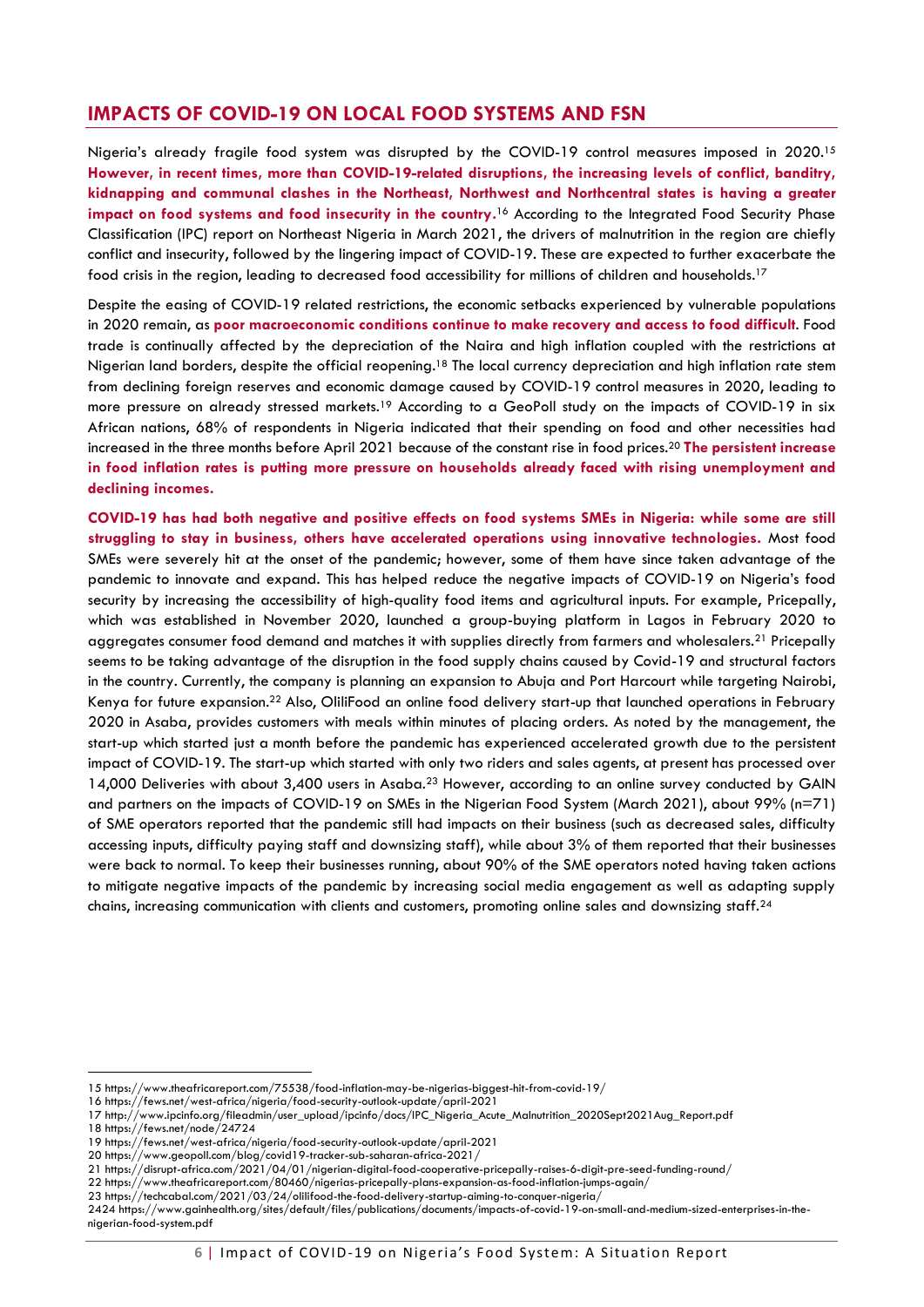# <span id="page-5-0"></span>**IMPACTS OF COVID-19 ON LOCAL FOOD SYSTEMS AND FSN**

Nigeria's already fragile food system was disrupted by the COVID-19 control measures imposed in 2020.<sup>15</sup> **However, in recent times, more than COVID-19-related disruptions, the increasing levels of conflict, banditry, kidnapping and communal clashes in the Northeast, Northwest and Northcentral states is having a greater**  impact on food systems and food insecurity in the country.<sup>16</sup> According to the Integrated Food Security Phase Classification (IPC) report on Northeast Nigeria in March 2021, the drivers of malnutrition in the region are chiefly conflict and insecurity, followed by the lingering impact of COVID-19. These are expected to further exacerbate the food crisis in the region, leading to decreased food accessibility for millions of children and households.<sup>17</sup>

Despite the easing of COVID-19 related restrictions, the economic setbacks experienced by vulnerable populations in 2020 remain, as **poor macroeconomic conditions continue to make recovery and access to food difficult**. Food trade is continually affected by the depreciation of the Naira and high inflation coupled with the restrictions at Nigerian land borders, despite the official reopening.<sup>18</sup> The local currency depreciation and high inflation rate stem from declining foreign reserves and economic damage caused by COVID-19 control measures in 2020, leading to more pressure on already stressed markets.<sup>19</sup> According to a GeoPoll study on the impacts of COVID-19 in six African nations, 68% of respondents in Nigeria indicated that their spending on food and other necessities had increased in the three months before April 2021 because of the constant rise in food prices. <sup>20</sup> **The persistent increase in food inflation rates is putting more pressure on households already faced with rising unemployment and declining incomes.**

**COVID-19 has had both negative and positive effects on food systems SMEs in Nigeria: while some are still struggling to stay in business, others have accelerated operations using innovative technologies.** Most food SMEs were severely hit at the onset of the pandemic; however, some of them have since taken advantage of the pandemic to innovate and expand. This has helped reduce the negative impacts of COVID-19 on Nigeria's food security by increasing the accessibility of high-quality food items and agricultural inputs. For example, Pricepally, which was established in November 2020, launched a group-buying platform in Lagos in February 2020 to aggregates consumer food demand and matches it with supplies directly from farmers and wholesalers.<sup>21</sup> Pricepally seems to be taking advantage of the disruption in the food supply chains caused by Covid-19 and structural factors in the country. Currently, the company is planning an expansion to Abuja and Port Harcourt while targeting Nairobi, Kenya for future expansion.<sup>22</sup> Also, OliliFood an online food delivery start-up that launched operations in February 2020 in Asaba, provides customers with meals within minutes of placing orders. As noted by the management, the start-up which started just a month before the pandemic has experienced accelerated growth due to the persistent impact of COVID-19. The start-up which started with only two riders and sales agents, at present has processed over 14,000 Deliveries with about 3,400 users in Asaba.<sup>23</sup> However, according to an online survey conducted by GAIN and partners on the impacts of COVID-19 on SMEs in the Nigerian Food System (March 2021), about 99% (n=71) of SME operators reported that the pandemic still had impacts on their business (such as decreased sales, difficulty accessing inputs, difficulty paying staff and downsizing staff), while about 3% of them reported that their businesses were back to normal. To keep their businesses running, about 90% of the SME operators noted having taken actions to mitigate negative impacts of the pandemic by increasing social media engagement as well as adapting supply chains, increasing communication with clients and customers, promoting online sales and downsizing staff.<sup>24</sup>

<sup>15</sup> https://www.theafricareport.com/75538/food-inflation-may-be-nigerias-biggest-hit-from-covid-19/

<sup>16</sup> https://fews.net/west-africa/nigeria/food-security-outlook-update/april-2021

<sup>17</sup> http://www.ipcinfo.org/fileadmin/user\_upload/ipcinfo/docs/IPC\_Nigeria\_Acute\_Malnutrition\_2020Sept2021Aug\_Report.pdf

<sup>18</sup> https://fews.net/node/24724

<sup>19</sup> https://fews.net/west-africa/nigeria/food-security-outlook-update/april-2021

<sup>20</sup> https://www.geopoll.com/blog/covid19-tracker-sub-saharan-africa-2021/

<sup>21</sup> https://disrupt-africa.com/2021/04/01/nigerian-digital-food-cooperative-pricepally-raises-6-digit-pre-seed-funding-round/

<sup>22</sup> https://www.theafricareport.com/80460/nigerias-pricepally-plans-expansion-as-food-inflation-jumps-again/

<sup>23</sup> https://techcabal.com/2021/03/24/olilifood-the-food-delivery-startup-aiming-to-conquer-nigeria/

<sup>2424</sup> https://www.gainhealth.org/sites/default/files/publications/documents/impacts-of-covid-19-on-small-and-medium-sized-enterprises-in-thenigerian-food-system.pdf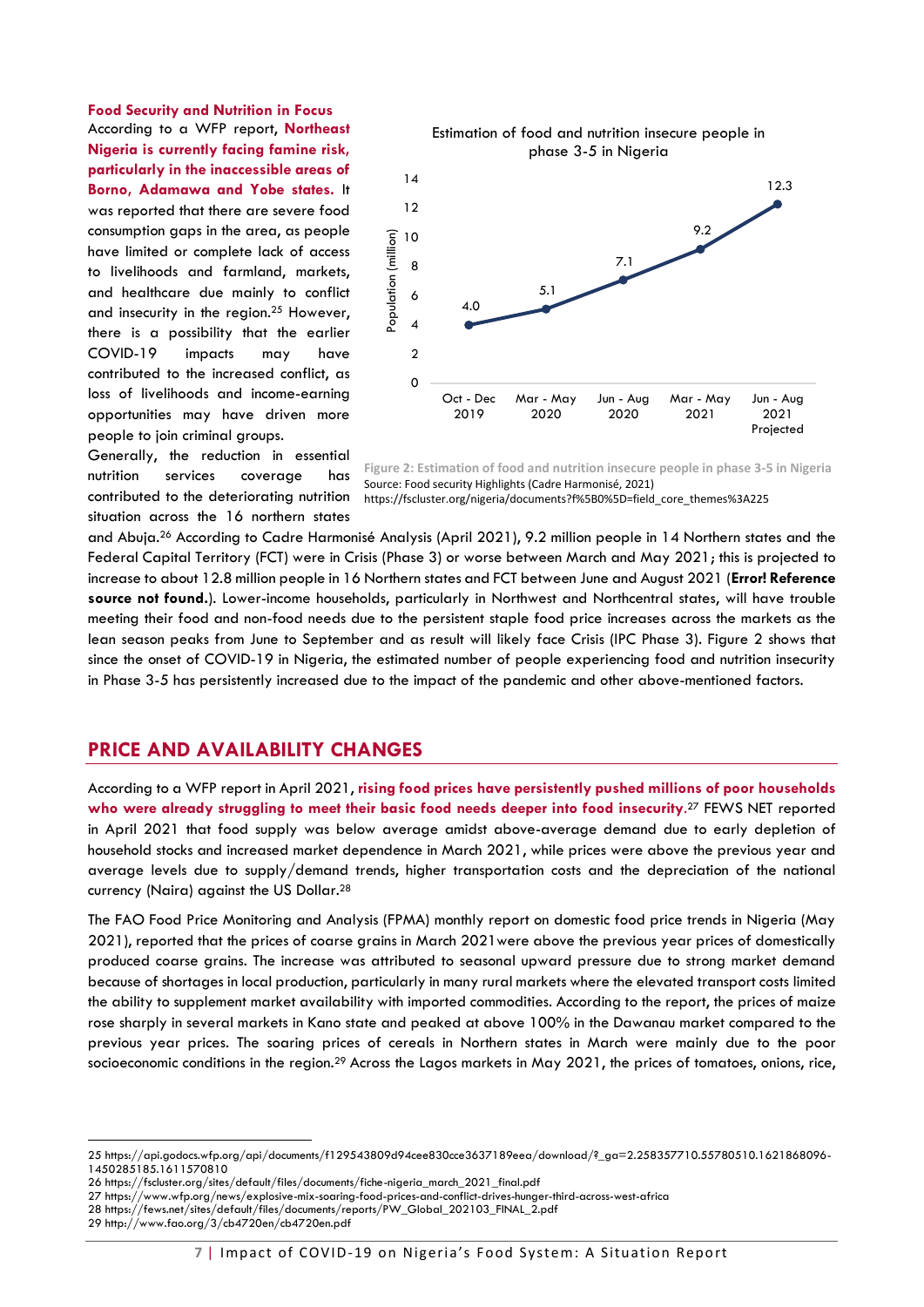**Food Security and Nutrition in Focus** According to a WFP report, **Northeast Nigeria is currently facing famine risk, particularly in the inaccessible areas of Borno, Adamawa and Yobe states.** It was reported that there are severe food consumption gaps in the area, as people have limited or complete lack of access to livelihoods and farmland, markets, and healthcare due mainly to conflict and insecurity in the region.<sup>25</sup> However, there is a possibility that the earlier COVID-19 impacts may have contributed to the increased conflict, as loss of livelihoods and income-earning opportunities may have driven more people to join criminal groups.



Generally, the reduction in essential nutrition services coverage has contributed to the deteriorating nutrition situation across the 16 northern states

<span id="page-6-1"></span>

https://fscluster.org/nigeria/documents?f%5B0%5D=field\_core\_themes%3A225

and Abuja. <sup>26</sup> According to Cadre Harmonisé Analysis (April 2021), 9.2 million people in 14 Northern states and the Federal Capital Territory (FCT) were in Crisis (Phase 3) or worse between March and May 2021; this is projected to increase to about 12.8 million people in 16 Northern states and FCT between June and August 2021 (**Error! Reference source not found.**). Lower-income households, particularly in Northwest and Northcentral states, will have trouble meeting their food and non-food needs due to the persistent staple food price increases across the markets as the lean season peaks from June to September and as result will likely face Crisis (IPC Phase 3). [Figure 2](#page-6-1) shows that since the onset of COVID-19 in Nigeria, the estimated number of people experiencing food and nutrition insecurity in Phase 3-5 has persistently increased due to the impact of the pandemic and other above-mentioned factors.

#### <span id="page-6-0"></span>**PRICE AND AVAILABILITY CHANGES**

According to a WFP report in April 2021, **rising food prices have persistently pushed millions of poor households who were already struggling to meet their basic food needs deeper into food insecurity**. <sup>27</sup> FEWS NET reported in April 2021 that food supply was below average amidst above-average demand due to early depletion of household stocks and increased market dependence in March 2021, while prices were above the previous year and average levels due to supply/demand trends, higher transportation costs and the depreciation of the national currency (Naira) against the US Dollar.<sup>28</sup>

The FAO Food Price Monitoring and Analysis (FPMA) monthly report on domestic food price trends in Nigeria (May 2021), reported that the prices of coarse grains in March 2021were above the previous year prices of domestically produced coarse grains. The increase was attributed to seasonal upward pressure due to strong market demand because of shortages in local production, particularly in many rural markets where the elevated transport costs limited the ability to supplement market availability with imported commodities. According to the report, the prices of maize rose sharply in several markets in Kano state and peaked at above 100% in the Dawanau market compared to the previous year prices. The soaring prices of cereals in Northern states in March were mainly due to the poor socioeconomic conditions in the region.<sup>29</sup> Across the Lagos markets in May 2021, the prices of tomatoes, onions, rice,

29 http://www.fao.org/3/cb4720en/cb4720en.pdf

<sup>25</sup> https://api.godocs.wfp.org/api/documents/f129543809d94cee830cce3637189eea/download/?\_ga=2.258357710.55780510.1621868096- 1450285185.1611570810

<sup>26</sup> https://fscluster.org/sites/default/files/documents/fiche-nigeria\_march\_2021\_final.pdf

<sup>27</sup> https://www.wfp.org/news/explosive-mix-soaring-food-prices-and-conflict-drives-hunger-third-across-west-africa

<sup>28</sup> https://fews.net/sites/default/files/documents/reports/PW\_Global\_202103\_FINAL\_2.pdf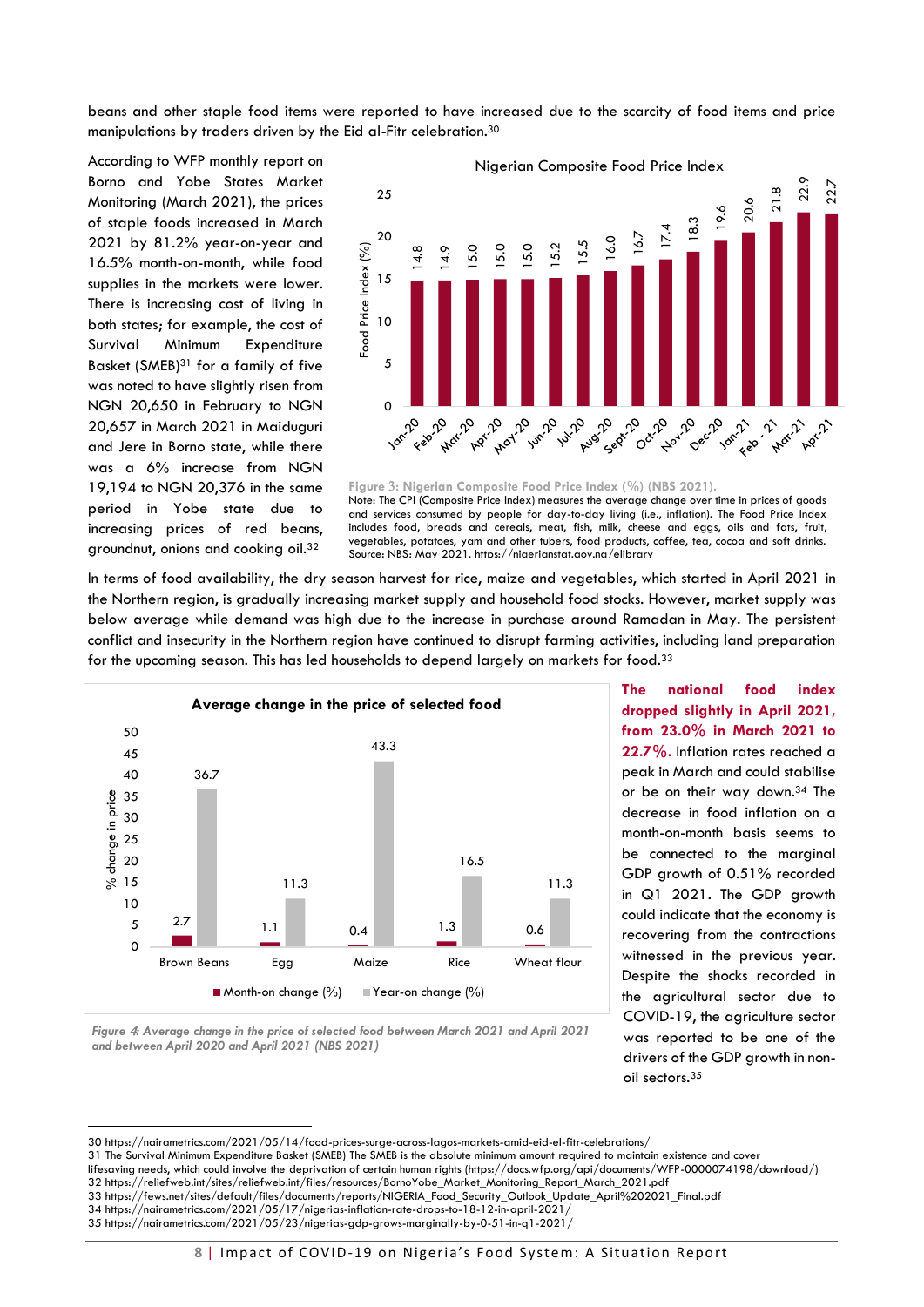beans and other staple food items were reported to have increased due to the scarcity of food items and price manipulations by traders driven by the Eid al-Fitr celebration. 30

According to WFP monthly report on Borno and Yobe States Market Monitoring (March 2021), the prices of staple foods increased in March 2021 by 81.2% year-on-year and 16.5% month-on-month, while food supplies in the markets were lower. There is increasing cost of living in both states; for example, the cost of Survival Minimum Expenditure Basket (SMEB)<sup>31</sup> for a family of five was noted to have slightly risen from NGN 20,650 in February to NGN 20,657 in March 2021 in Maiduguri and Jere in Borno state, while there was a 6% increase from NGN 19,194 to NGN 20,376 in the same period in Yobe state due to increasing prices of red beans, groundnut, onions and cooking oil.<sup>32</sup>



**Figure : Nigerian Composite Food Price Index (%) (NBS 2021).** Note: The CPI (Composite Price Index) measures the average change over time in prices of goods and services consumed by people for day-to-day living (i.e., inflation). The Food Price Index includes food, breads and cereals, meat, fish, milk, cheese and eggs, oils and fats, fruit, vegetables, potatoes, yam and other tubers, food products, coffee, tea, cocoa and soft drinks.

In terms of food availability, the dry season harvest for rice, maize and vegetables, which started in April 2021 in the Northern region, is gradually increasing market supply and household food stocks. However, market supply was below average while demand was high due to the increase in purchase around Ramadan in May. The persistent conflict and insecurity in the Northern region have continued to disrupt farming activities, including land preparation for the upcoming season. This has led households to depend largely on markets for food.<sup>33</sup>



**dropped slightly in April 2021, from 23.0% in March 2021 to 22.7%.** Inflation rates reached a peak in March and could stabilise or be on their way down.<sup>34</sup> The decrease in food inflation on a month-on-month basis seems to be connected to the marginal GDP growth of 0.51% recorded in Q1 2021. The GDP growth could indicate that the economy is recovering from the contractions witnessed in the previous year. Despite the shocks recorded in the agricultural sector due to COVID-19, the agriculture sector was reported to be one of the drivers of the GDP growth in nonoil sectors.<sup>35</sup>

**The national food index** 

<span id="page-7-0"></span>*Figure : Average change in the price of selected food between March 2021 and April 2021 and between April 2020 and April 2021 (NBS 2021)*

<sup>30</sup> https://nairametrics.com/2021/05/14/food-prices-surge-across-lagos-markets-amid-eid-el-fitr-celebrations/

<sup>31</sup> The Survival Minimum Expenditure Basket (SMEB) The SMEB is the absolute minimum amount required to maintain existence and cover

lifesaving needs, which could involve the deprivation of certain human rights (https://docs.wfp.org/api/documents/WFP-0000074198/download/) 32 https://reliefweb.int/sites/reliefweb.int/files/resources/BornoYobe\_Market\_Monitoring\_Report\_March\_2021.pdf

<sup>33</sup> https://fews.net/sites/default/files/documents/reports/NIGERIA\_Food\_Security\_Outlook\_Update\_April%202021\_Final.pdf

<sup>34</sup> https://nairametrics.com/2021/05/17/nigerias-inflation-rate-drops-to-18-12-in-april-2021/

<sup>35</sup> https://nairametrics.com/2021/05/23/nigerias-gdp-grows-marginally-by-0-51-in-q1-2021/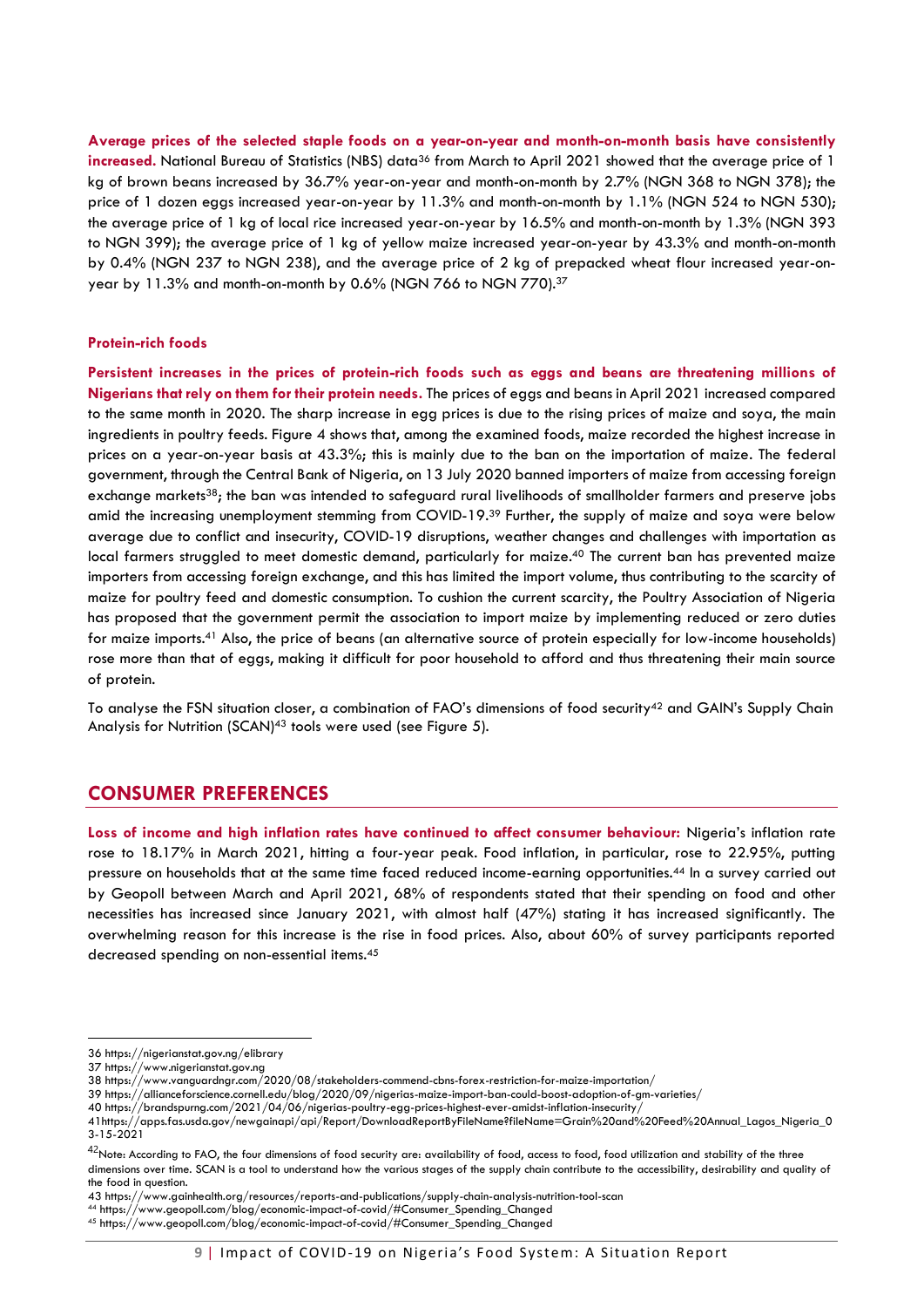**Average prices of the selected staple foods on a year-on-year and month-on-month basis have consistently increased.** National Bureau of Statistics (NBS) data<sup>36</sup> from March to April 2021 showed that the average price of 1 kg of brown beans increased by 36.7% year-on-year and month-on-month by 2.7% (NGN 368 to NGN 378); the price of 1 dozen eggs increased year-on-year by 11.3% and month-on-month by 1.1% (NGN 524 to NGN 530); the average price of 1 kg of local rice increased year-on-year by 16.5% and month-on-month by 1.3% (NGN 393 to NGN 399); the average price of 1 kg of yellow maize increased year-on-year by 43.3% and month-on-month by 0.4% (NGN 237 to NGN 238), and the average price of 2 kg of prepacked wheat flour increased year-onyear by 11.3% and month-on-month by 0.6% (NGN 766 to NGN 770).<sup>37</sup>

#### **Protein-rich foods**

**Persistent increases in the prices of protein-rich foods such as eggs and beans are threatening millions of Nigerians that rely on them for their protein needs.** The prices of eggs and beans in April 2021 increased compared to the same month in 2020. The sharp increase in egg prices is due to the rising prices of maize and soya, the main ingredients in poultry feeds. [Figure 4](#page-7-0) shows that, among the examined foods, maize recorded the highest increase in prices on a year-on-year basis at 43.3%; this is mainly due to the ban on the importation of maize. The federal government, through the Central Bank of Nigeria, on 13 July 2020 banned importers of maize from accessing foreign exchange markets<sup>38</sup>; the ban was intended to safeguard rural livelihoods of smallholder farmers and preserve jobs amid the increasing unemployment stemming from COVID-19.<sup>39</sup> Further, the supply of maize and soya were below average due to conflict and insecurity, COVID-19 disruptions, weather changes and challenges with importation as local farmers struggled to meet domestic demand, particularly for maize. <sup>40</sup> The current ban has prevented maize importers from accessing foreign exchange, and this has limited the import volume, thus contributing to the scarcity of maize for poultry feed and domestic consumption. To cushion the current scarcity, the Poultry Association of Nigeria has proposed that the government permit the association to import maize by implementing reduced or zero duties for maize imports.<sup>41</sup> Also, the price of beans (an alternative source of protein especially for low-income households) rose more than that of eggs, making it difficult for poor household to afford and thus threatening their main source of protein.

<span id="page-8-0"></span>To analyse the FSN situation closer, a combination of FAO's dimensions of food security<sup>42</sup> and GAIN's Supply Chain Analysis for Nutrition (SCAN)<sup>43</sup> tools were used (see [Figure 5\)](#page-9-0).

### **CONSUMER PREFERENCES**

**Loss of income and high inflation rates have continued to affect consumer behaviour:** Nigeria's inflation rate rose to 18.17% in March 2021, hitting a four-year peak. Food inflation, in particular, rose to 22.95%, putting pressure on households that at the same time faced reduced income-earning opportunities. <sup>44</sup> In a survey carried out by Geopoll between March and April 2021, 68% of respondents stated that their spending on food and other necessities has increased since January 2021, with almost half (47%) stating it has increased significantly. The overwhelming reason for this increase is the rise in food prices. Also, about 60% of survey participants reported decreased spending on non-essential items.<sup>45</sup>

<sup>36</sup> https://nigerianstat.gov.ng/elibrary

<sup>37</sup> https://www.nigerianstat.gov.ng

<sup>38</sup> https://www.vanguardngr.com/2020/08/stakeholders-commend-cbns-forex-restriction-for-maize-importation/

<sup>39</sup> https://allianceforscience.cornell.edu/blog/2020/09/nigerias-maize-import-ban-could-boost-adoption-of-gm-varieties/

<sup>40</sup> https://brandspurng.com/2021/04/06/nigerias-poultry-egg-prices-highest-ever-amidst-inflation-insecurity/

<sup>41</sup>https://apps.fas.usda.gov/newgainapi/api/Report/DownloadReportByFileName?fileName=Grain%20and%20Feed%20Annual\_Lagos\_Nigeria\_0 3-15-2021

 $^{42}$ Note: According to FAO, the four dimensions of food security are: availability of food, access to food, food utilization and stability of the three dimensions over time. SCAN is a tool to understand how the various stages of the supply chain contribute to the accessibility, desirability and quality of the food in question.

<sup>43</sup> https://www.gainhealth.org/resources/reports-and-publications/supply-chain-analysis-nutrition-tool-scan

<sup>44</sup> https://www.geopoll.com/blog/economic-impact-of-covid/#Consumer\_Spending\_Changed

<sup>45</sup> https://www.geopoll.com/blog/economic-impact-of-covid/#Consumer\_Spending\_Changed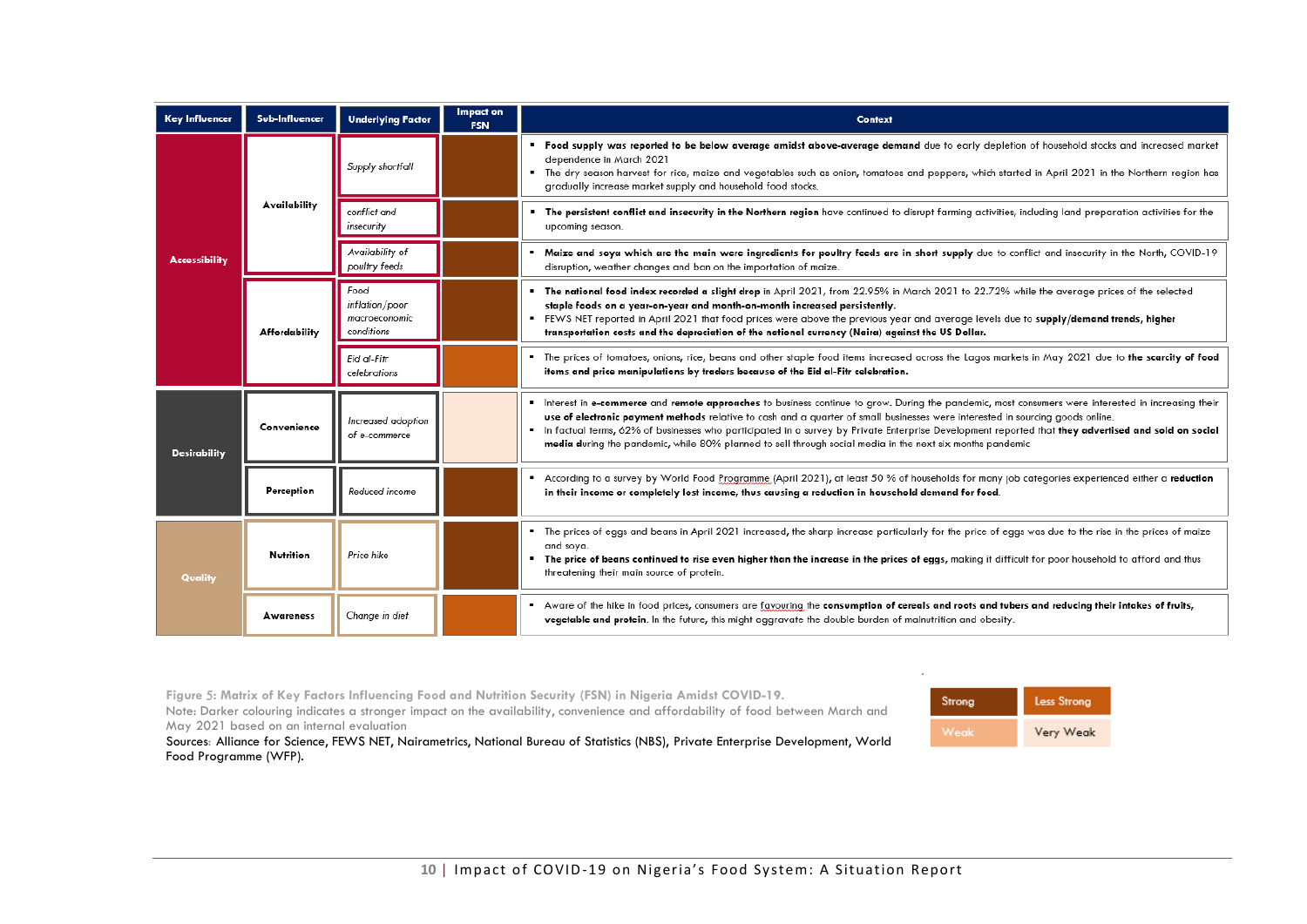| <b>Key Influencer</b> | Sub-Influencer       | <b>Underlying Factor</b>                              | Impact on<br><b>FSN</b> | Context                                                                                                                                                                                                                                                                                                                                                                                                                                                                                                                                                  |
|-----------------------|----------------------|-------------------------------------------------------|-------------------------|----------------------------------------------------------------------------------------------------------------------------------------------------------------------------------------------------------------------------------------------------------------------------------------------------------------------------------------------------------------------------------------------------------------------------------------------------------------------------------------------------------------------------------------------------------|
|                       | Availability         | Supply shortfall                                      |                         | " Food supply was reported to be below average amidst above-average demand due to early depletion of household stocks and increased market<br>dependence in March 2021<br>" The dry season harvest for rice, maize and vegetables such as onion, tomatoes and peppers, which started in April 2021 in the Northern region has<br>gradually increase market supply and household food stocks.                                                                                                                                                             |
|                       |                      | conflict and<br>insecurity                            |                         | " The persistent conflict and insecurity in the Northern region have continued to disrupt farming activities, including land preparation activities for the<br>upcoming season.                                                                                                                                                                                                                                                                                                                                                                          |
| <b>Accessibility</b>  |                      | Availability of<br>poultry feeds                      |                         | Maize and soya which are the main were ingredients for poultry feeds are in short supply due to conflict and insecurity in the North, COVID-19<br>disruption, weather changes and ban on the importation of maize.                                                                                                                                                                                                                                                                                                                                       |
|                       | <b>Affordability</b> | Food<br>inflation/poor<br>macroeconomic<br>conditions |                         | The national food index recorded a slight drop in April 2021, from 22.95% in March 2021 to 22.72% while the average prices of the selected<br>staple foods on a year-on-year and month-on-month increased persistently.<br>FEWS NET reported in April 2021 that food prices were above the previous year and average levels due to supply/demand trends, higher<br>transportation costs and the depreciation of the national currency (Naira) against the US Dollar.                                                                                     |
|                       |                      | Eid al-Fitr<br>celebrations                           |                         | The prices of tomatoes, onions, rice, beans and other staple food items increased across the Lagos markets in May 2021 due to the scarcity of food<br>items and price manipulations by traders because of the Eid al-Fitr celebration.                                                                                                                                                                                                                                                                                                                   |
| <b>Desirability</b>   | Convenience          | Increased adoption<br>of e-commerce                   |                         | Interest in e-commerce and remote approaches to business continue to grow. During the pandemic, most consumers were interested in increasing their<br>use of electronic payment methods relative to cash and a quarter of small businesses were interested in sourcing goods online.<br>In factual terms, 62% of businesses who participated in a survey by Private Enterprise Development reported that they advertised and sold on social<br>media during the pandemic, while 80% planned to sell through social media in the next six months pandemic |
|                       | Perception           | Reduced income                                        |                         | According to a survey by World Food Programme (April 2021), at least 50 % of households for many job categories experienced either a reduction<br>in their income or completely lost income, thus causing a reduction in household demand for food.                                                                                                                                                                                                                                                                                                      |
| Quality               | Nutrition            | Price hike                                            |                         | ■ The prices of eggs and beans in April 2021 increased, the sharp increase particularly for the price of eggs was due to the rise in the prices of maize<br>and soya.<br>" The price of beans continued to rise even higher than the increase in the prices of eggs, making it difficult for poor household to afford and thus<br>threatening their main source of protein.                                                                                                                                                                              |
|                       | <b>Awareness</b>     | Change in diet                                        |                         | Aware of the hike in food prices, consumers are favouring the consumption of cereals and roots and tubers and reducing their intakes of fruits,<br>vegetable and protein. In the future, this might aggravate the double burden of malnutrition and obesity.                                                                                                                                                                                                                                                                                             |

**Figure : Matrix of Key Factors Influencing Food and Nutrition Security (FSN) in Nigeria Amidst COVID-19.**

Note: Darker colouring indicates a stronger impact on the availability, convenience and affordability of food between March and May 2021 based on an internal evaluation



*.* 

<span id="page-9-0"></span>Sources: Alliance for Science, FEWS NET, Nairametrics, National Bureau of Statistics (NBS), Private Enterprise Development, World Food Programme (WFP).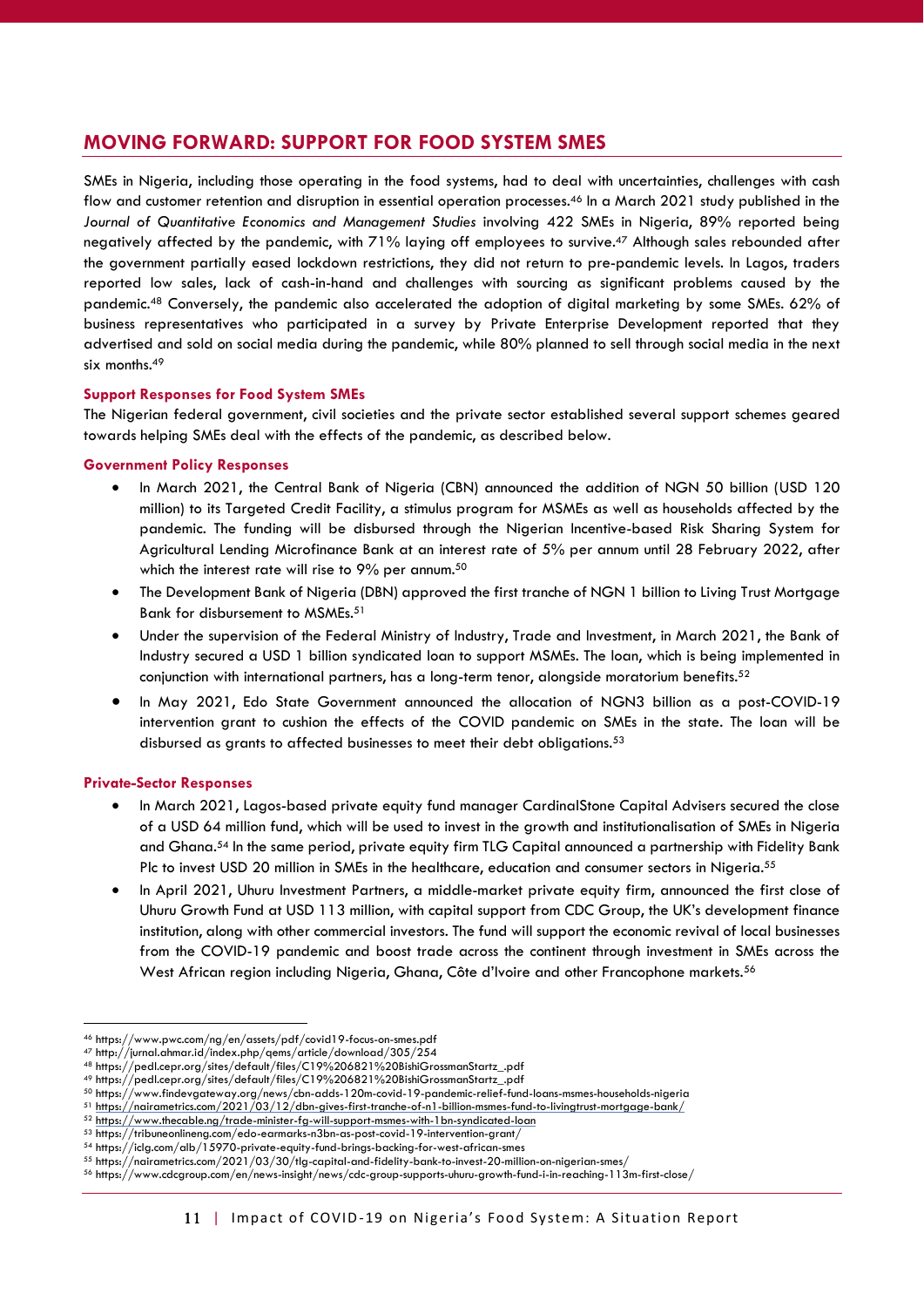# <span id="page-10-0"></span>**MOVING FORWARD: SUPPORT FOR FOOD SYSTEM SMES**

SMEs in Nigeria, including those operating in the food systems, had to deal with uncertainties, challenges with cash flow and customer retention and disruption in essential operation processes.<sup>46</sup> In a March 2021 study published in the *Journal of Quantitative Economics and Management Studies* involving 422 SMEs in Nigeria, 89% reported being negatively affected by the pandemic, with 71% laying off employees to survive.<sup>47</sup> Although sales rebounded after the government partially eased lockdown restrictions, they did not return to pre-pandemic levels. In Lagos, traders reported low sales, lack of cash-in-hand and challenges with sourcing as significant problems caused by the pandemic.<sup>48</sup> Conversely, the pandemic also accelerated the adoption of digital marketing by some SMEs. 62% of business representatives who participated in a survey by Private Enterprise Development reported that they advertised and sold on social media during the pandemic, while 80% planned to sell through social media in the next six months.<sup>49</sup>

#### **Support Responses for Food System SMEs**

The Nigerian federal government, civil societies and the private sector established several support schemes geared towards helping SMEs deal with the effects of the pandemic, as described below.

#### **Government Policy Responses**

- In March 2021, the Central Bank of Nigeria (CBN) announced the addition of NGN 50 billion (USD 120 million) to its Targeted Credit Facility, a stimulus program for MSMEs as well as households affected by the pandemic. The funding will be disbursed through the Nigerian Incentive-based Risk Sharing System for Agricultural Lending Microfinance Bank at an interest rate of 5% per annum until 28 February 2022, after which the interest rate will rise to 9% per annum.<sup>50</sup>
- The Development Bank of Nigeria (DBN) approved the first tranche of NGN 1 billion to Living Trust Mortgage Bank for disbursement to MSMEs.<sup>51</sup>
- Under the supervision of the Federal Ministry of Industry, Trade and Investment, in March 2021, the Bank of Industry secured a USD 1 billion syndicated loan to support MSMEs. The loan, which is being implemented in conjunction with international partners, has a long-term tenor, alongside moratorium benefits.<sup>52</sup>
- In May 2021, Edo State Government announced the allocation of NGN3 billion as a post-COVID-19 intervention grant to cushion the effects of the COVID pandemic on SMEs in the state. The loan will be disbursed as grants to affected businesses to meet their debt obligations.<sup>53</sup>

#### **Private-Sector Responses**

- In March 2021, Lagos-based private equity fund manager CardinalStone Capital Advisers secured the close of a USD 64 million fund, which will be used to invest in the growth and institutionalisation of SMEs in Nigeria and Ghana.<sup>54</sup> In the same period, private equity firm TLG Capital announced a partnership with Fidelity Bank Plc to invest USD 20 million in SMEs in the healthcare, education and consumer sectors in Nigeria.<sup>55</sup>
- In April 2021, Uhuru Investment Partners, a middle-market private equity firm, announced the first close of Uhuru Growth Fund at USD 113 million, with capital support from CDC Group, the UK's development finance institution, along with other commercial investors. The fund will support the economic revival of local businesses from the COVID-19 pandemic and boost trade across the continent through investment in SMEs across the West African region including Nigeria, Ghana, Côte d'Ivoire and other Francophone markets.<sup>56</sup>

<sup>46</sup> https://www.pwc.com/ng/en/assets/pdf/covid19-focus-on-smes.pdf

<sup>47</sup> http://jurnal.ahmar.id/index.php/qems/article/download/305/254

<sup>48</sup> https://pedl.cepr.org/sites/default/files/C19%206821%20BishiGrossmanStartz\_.pdf

<sup>49</sup> https://pedl.cepr.org/sites/default/files/C19%206821%20BishiGrossmanStartz\_.pdf

<sup>50</sup> https://www.findevgateway.org/news/cbn-adds-120m-covid-19-pandemic-relief-fund-loans-msmes-households-nigeria

<sup>51</sup> <https://nairametrics.com/2021/03/12/dbn-gives-first-tranche-of-n1-billion-msmes-fund-to-livingtrust-mortgage-bank/>

<sup>52</sup> <https://www.thecable.ng/trade-minister-fg-will-support-msmes-with-1bn-syndicated-loan>

<sup>53</sup> https://tribuneonlineng.com/edo-earmarks-n3bn-as-post-covid-19-intervention-grant/

<sup>54</sup> https://iclg.com/alb/15970-private-equity-fund-brings-backing-for-west-african-smes

<sup>55</sup> https://nairametrics.com/2021/03/30/tlg-capital-and-fidelity-bank-to-invest-20-million-on-nigerian-smes/

<sup>56</sup> https://www.cdcgroup.com/en/news-insight/news/cdc-group-supports-uhuru-growth-fund-i-in-reaching-113m-first-close/